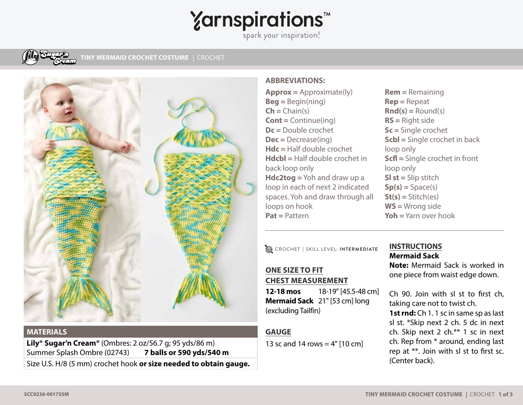# **Yarnspirations<sup>\*</sup>**

 $S$ park your inspiration!



**TINY MERMAID CROCHET COSTUME** | CROCHET



#### **MATERIALS**

**Lily® Sugar'n Cream®** (Ombres: 2 oz/56.7 g; 95 yds/86 m) Summer Splash Ombre (02743) **7 balls or 590 yds/540 m** Size U.S. H/8 (5 mm) crochet hook **or size needed to obtain gauge.** 

### **ABBREVIATIONS:**

**Approx =** Approximate(ly) **Beg =** Begin(ning) **Ch =** Chain(s) **Cont =** Continue(ing) **Dc =** Double crochet **Dec =** Decrease(ing) **Hdc =** Half double crochet **Hdcbl =** Half double crochet in back loop only **Hdc2tog =** Yoh and draw up a loop in each of next 2 indicated spaces. Yoh and draw through all loops on hook **Pat =** Pattern

**Sl st =** Slip stitch  $Sp(s) = Space(s)$ **St(s) =** Stitch(es) **WS =** Wrong side **Yoh =** Yarn over hook

loop only

loop only

CROCHET **|** SKILL LEVEL: **INTERMEDIATE**

## **ONE SIZE TO FIT CHEST MEASUREMENT**

**12-18 mos** 18-19" [45.5-48 cm] **Mermaid Sack** 21" [53 cm] long (excluding Tailfin)

## **GAUGE**

13 sc and 14 rows =  $4"$  [10 cm]

## **INSTRUCTIONS Mermaid Sack**

**Rem =** Remaining **Rep =** Repeat  $\mathbf{Rnd}(s) = \text{Round}(s)$ **RS =** Right side **Sc =** Single crochet

**Scbl =** Single crochet in back

**Scfl =** Single crochet in front

**Note:** Mermaid Sack is worked in one piece from waist edge down.

Ch 90. Join with sl st to first ch, taking care not to twist ch.

**1st rnd:** Ch 1. 1 sc in same sp as last sl st. \*Skip next 2 ch. 5 dc in next ch. Skip next 2 ch.\*\* 1 sc in next ch. Rep from \* around, ending last rep at \*\*. Join with sl st to first sc. (Center back).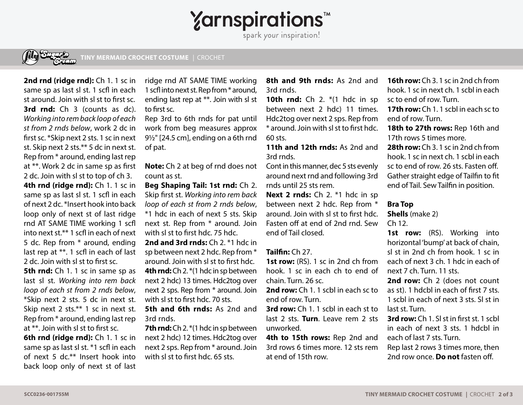**Yarnspirations<sup>\*</sup>** 

spark your inspiration!



**TINY MERMAID CROCHET COSTUME** | CROCHET

**2nd rnd (ridge rnd):** Ch 1. 1 sc in same sp as last sl st. 1 scfl in each st around. Join with sl st to first sc. **3rd rnd:** Ch 3 (counts as dc). *Working into rem back loop of each st from 2 rnds below*, work 2 dc in first sc. \*Skip next 2 sts. 1 sc in next st. Skip next 2 sts.\*\* 5 dc in next st. Rep from \* around, ending last rep at \*\*. Work 2 dc in same sp as first 2 dc. Join with sl st to top of ch 3. **4th rnd (ridge rnd):** Ch 1. 1 sc in same sp as last sl st. 1 scfl in each of next 2 dc. \*Insert hook into back loop only of next st of last ridge rnd AT SAME TIME working 1 scfl into next st.\*\* 1 scfl in each of next 5 dc. Rep from \* around, ending last rep at \*\*. 1 scfl in each of last 2 dc. Join with sl st to first sc.

**5th rnd:** Ch 1. 1 sc in same sp as last sl st. *Working into rem back loop of each st from 2 rnds below*, \*Skip next 2 sts. 5 dc in next st. Skip next 2 sts.\*\* 1 sc in next st. Rep from \* around, ending last rep at \*\*. Join with sl st to first sc.

**6th rnd (ridge rnd):** Ch 1. 1 sc in same sp as last sl st. \*1 scfl in each of next 5 dc.\*\* Insert hook into back loop only of next st of last

ridge rnd AT SAME TIME working 1 scfl into next st. Rep from \* around, ending last rep at \*\*. Join with sl st to first sc.

Rep 3rd to 6th rnds for pat until work from beg measures approx 9½" [24.5 cm], ending on a 6th rnd of pat.

**Note:** Ch 2 at beg of rnd does not count as st.

**Beg Shaping Tail: 1st rnd:** Ch 2. Skip first st. *Working into rem back loop of each st from 2 rnds below*, \*1 hdc in each of next 5 sts. Skip next st. Rep from \* around. Join with sl st to first hdc. 75 hdc. **2nd and 3rd rnds:** Ch 2. \*1 hdc in

sp between next 2 hdc. Rep from \* around. Join with sl st to first hdc. **4th rnd:** Ch 2. \*(1 hdc in sp between next 2 hdc) 13 times. Hdc2tog over next 2 sps. Rep from \* around. Join with sl st to first hdc. 70 sts.

**5th and 6th rnds:** As 2nd and 3rd rnds.

**7th rnd:** Ch 2. \* (1 hdc in sp between next 2 hdc) 12 times. Hdc2tog over next 2 sps. Rep from \* around. Join with sl st to first hdc. 65 sts.

**8th and 9th rnds:** As 2nd and 3rd rnds.

**10th rnd:** Ch 2. \* (1 hdc in sp between next 2 hdc) 11 times. Hdc2tog over next 2 sps. Rep from \* around. Join with sl st to first hdc. 60 sts.

**11th and 12th rnds:** As 2nd and 3rd rnds.

Cont in this manner, dec 5 sts evenly around next rnd and following 3rd rnds until 25 sts rem.

**Next 2 rnds:** Ch 2. \*1 hdc in sp between next 2 hdc. Rep from \* around. Join with sl st to first hdc. Fasten off at end of 2nd rnd. Sew end of Tail closed.

#### **Tailfin:** Ch 27.

**1st row:** (RS). 1 sc in 2nd ch from hook. 1 sc in each ch to end of chain. Turn. 26 sc.

**2nd row:** Ch 1. 1 scbl in each sc to end of row. Turn.

**3rd row:** Ch 1. 1 scbl in each st to last 2 sts. **Turn**. Leave rem 2 sts unworked.

4th to 15th rows: Rep 2nd and 3rd rows 6 times more. 12 sts rem at end of 15th row.

**16th row:** Ch 3. 1 sc in 2nd ch from hook. 1 sc in next ch. 1 scbl in each sc to end of row. Turn.

**17th row:** Ch 1. 1 scbl in each sc to end of row. Turn.

18th to 27th rows: Rep 16th and 17th rows 5 times more.

**28th row:** Ch 3. 1 sc in 2nd ch from hook. 1 sc in next ch. 1 scbl in each sc to end of row. 26 sts. Fasten off. Gather straight edge of Tailfin to fit end of Tail. Sew Tailfin in position.

#### **Bra Top**

**Shells** (make 2)

 $Ch 12$ 

1st row: (RS). Working into horizontal 'bump' at back of chain, sl st in 2nd ch from hook. 1 sc in each of next 3 ch. 1 hdc in each of next 7 ch. Turn. 11 sts.

2nd row: Ch 2 (does not count as st). 1 hdcbl in each of first 7 sts. 1 scbl in each of next 3 sts. Sl st in last st. Turn.

**3rd row:** Ch 1. Sl st in first st. 1 scbl in each of next 3 sts. 1 hdcbl in each of last 7 sts. Turn.

Rep last 2 rows 3 times more, then 2nd row once. **Do not** fasten off.